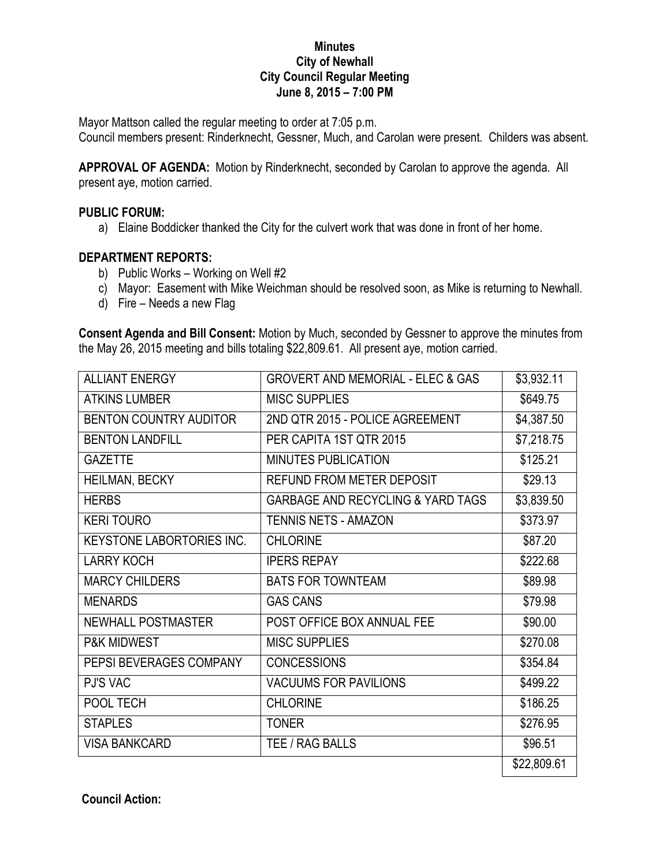## **Minutes City of Newhall City Council Regular Meeting June 8, 2015 – 7:00 PM**

Mayor Mattson called the regular meeting to order at 7:05 p.m.

Council members present: Rinderknecht, Gessner, Much, and Carolan were present. Childers was absent.

**APPROVAL OF AGENDA:** Motion by Rinderknecht, seconded by Carolan to approve the agenda. All present aye, motion carried.

## **PUBLIC FORUM:**

a) Elaine Boddicker thanked the City for the culvert work that was done in front of her home.

## **DEPARTMENT REPORTS:**

- b) Public Works Working on Well #2
- c) Mayor: Easement with Mike Weichman should be resolved soon, as Mike is returning to Newhall.
- d) Fire Needs a new Flag

**Consent Agenda and Bill Consent:** Motion by Much, seconded by Gessner to approve the minutes from the May 26, 2015 meeting and bills totaling \$22,809.61. All present aye, motion carried.

| <b>ALLIANT ENERGY</b>            | <b>GROVERT AND MEMORIAL - ELEC &amp; GAS</b> | \$3,932.11           |
|----------------------------------|----------------------------------------------|----------------------|
| <b>ATKINS LUMBER</b>             | <b>MISC SUPPLIES</b>                         | \$649.75             |
| BENTON COUNTRY AUDITOR           | 2ND QTR 2015 - POLICE AGREEMENT              | \$4,387.50           |
| <b>BENTON LANDFILL</b>           | PER CAPITA 1ST QTR 2015                      | \$7,218.75           |
| <b>GAZETTE</b>                   | <b>MINUTES PUBLICATION</b>                   | \$125.21             |
| HEILMAN, BECKY                   | <b>REFUND FROM METER DEPOSIT</b>             | \$29.13              |
| <b>HERBS</b>                     | <b>GARBAGE AND RECYCLING &amp; YARD TAGS</b> | \$3,839.50           |
| <b>KERI TOURO</b>                | <b>TENNIS NETS - AMAZON</b>                  | \$373.97             |
| <b>KEYSTONE LABORTORIES INC.</b> | <b>CHLORINE</b>                              | \$87.20              |
| <b>LARRY KOCH</b>                | <b>IPERS REPAY</b>                           | $\overline{$}222.68$ |
| <b>MARCY CHILDERS</b>            | <b>BATS FOR TOWNTEAM</b>                     | \$89.98              |
| <b>MENARDS</b>                   | <b>GAS CANS</b>                              | \$79.98              |
| <b>NEWHALL POSTMASTER</b>        | POST OFFICE BOX ANNUAL FEE                   | \$90.00              |
| <b>P&amp;K MIDWEST</b>           | <b>MISC SUPPLIES</b>                         | \$270.08             |
| PEPSI BEVERAGES COMPANY          | <b>CONCESSIONS</b>                           | \$354.84             |
| <b>PJ'S VAC</b>                  | <b>VACUUMS FOR PAVILIONS</b>                 | \$499.22             |
| POOL TECH                        | <b>CHLORINE</b>                              | \$186.25             |
| <b>STAPLES</b>                   | <b>TONER</b>                                 | \$276.95             |
| <b>VISA BANKCARD</b>             | TEE / RAG BALLS                              | \$96.51              |
|                                  |                                              | \$22,809.61          |

**Council Action:**